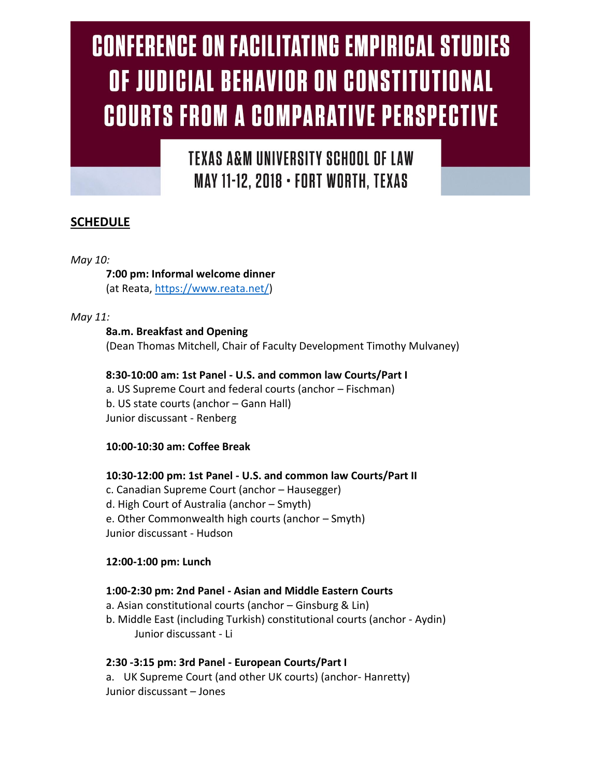# **CONFERENCE ON FACILITATING EMPIRICAL STUDIES** OF JUDICIAL BEHAVIOR ON CONSTITUTIONAL **COURTS FROM A COMPARATIVE PERSPECTIVE**

TEXAS A&M IINIVERSITY SCHOOL OF LAW MAY 11-12, 2018  $\cdot$  FORT WORTH, TEXAS

# **SCHEDULE**

### *May 10:*

**7:00 pm: Informal welcome dinner** (at Reata, [https://www.reata.net/\)](https://www.reata.net/)

## *May 11:*

**8a.m. Breakfast and Opening** (Dean Thomas Mitchell, Chair of Faculty Development Timothy Mulvaney)

# **8:30-10:00 am: 1st Panel - U.S. and common law Courts/Part I**

a. US Supreme Court and federal courts (anchor – Fischman) b. US state courts (anchor – Gann Hall) Junior discussant - Renberg

## **10:00-10:30 am: Coffee Break**

**10:30-12:00 pm: 1st Panel - U.S. and common law Courts/Part II** c. Canadian Supreme Court (anchor – Hausegger) d. High Court of Australia (anchor – Smyth) e. Other Commonwealth high courts (anchor – Smyth) Junior discussant - Hudson

## **12:00-1:00 pm: Lunch**

## **1:00-2:30 pm: 2nd Panel - Asian and Middle Eastern Courts**

- a. Asian constitutional courts (anchor Ginsburg & Lin)
- b. Middle East (including Turkish) constitutional courts (anchor Aydin) Junior discussant - Li

## **2:30 -3:15 pm: 3rd Panel - European Courts/Part I**

a. UK Supreme Court (and other UK courts) (anchor- Hanretty) Junior discussant – Jones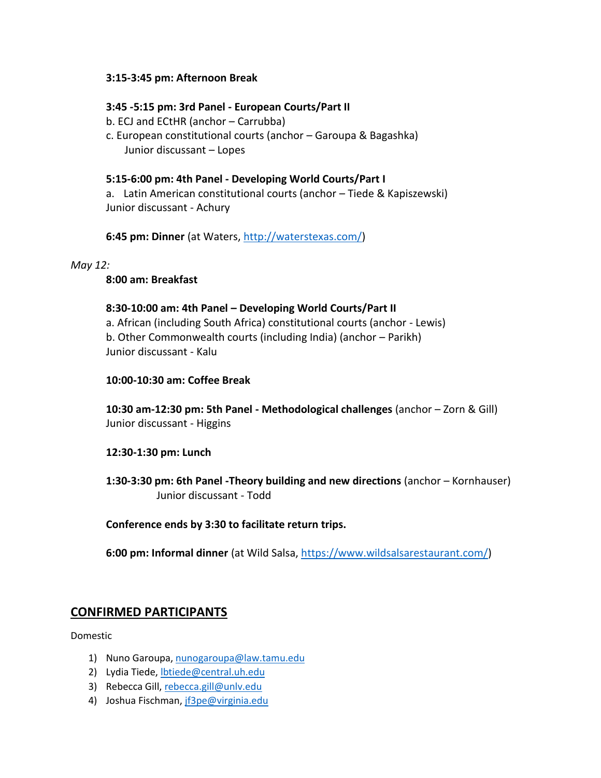#### **3:15-3:45 pm: Afternoon Break**

#### **3:45 -5:15 pm: 3rd Panel - European Courts/Part II**

b. ECJ and ECtHR (anchor – Carrubba)

c. European constitutional courts (anchor – Garoupa & Bagashka) Junior discussant – Lopes

#### **5:15-6:00 pm: 4th Panel - Developing World Courts/Part I**

a. Latin American constitutional courts (anchor – Tiede & Kapiszewski) Junior discussant - Achury

**6:45 pm: Dinner** (at Waters, [http://waterstexas.com/\)](http://waterstexas.com/)

#### *May 12:*

#### **8:00 am: Breakfast**

#### **8:30-10:00 am: 4th Panel – Developing World Courts/Part II**

a. African (including South Africa) constitutional courts (anchor - Lewis) b. Other Commonwealth courts (including India) (anchor – Parikh) Junior discussant - Kalu

#### **10:00-10:30 am: Coffee Break**

**10:30 am-12:30 pm: 5th Panel - Methodological challenges** (anchor – Zorn & Gill) Junior discussant - Higgins

#### **12:30-1:30 pm: Lunch**

**1:30-3:30 pm: 6th Panel -Theory building and new directions** (anchor – Kornhauser) Junior discussant - Todd

**Conference ends by 3:30 to facilitate return trips.**

**6:00 pm: Informal dinner** (at Wild Salsa, [https://www.wildsalsarestaurant.com/\)](https://www.wildsalsarestaurant.com/)

# **CONFIRMED PARTICIPANTS**

Domestic

- 1) Nuno Garoupa, [nunogaroupa@law.tamu.edu](mailto:nunogaroupa@law.tamu.edu)
- 2) Lydia Tiede[, lbtiede@central.uh.edu](mailto:lbtiede@central.uh.edu)
- 3) Rebecca Gill[, rebecca.gill@unlv.edu](mailto:rebecca.gill@unlv.edu)
- 4) Joshua Fischman, [jf3pe@virginia.edu](mailto:jf3pe@virginia.edu)